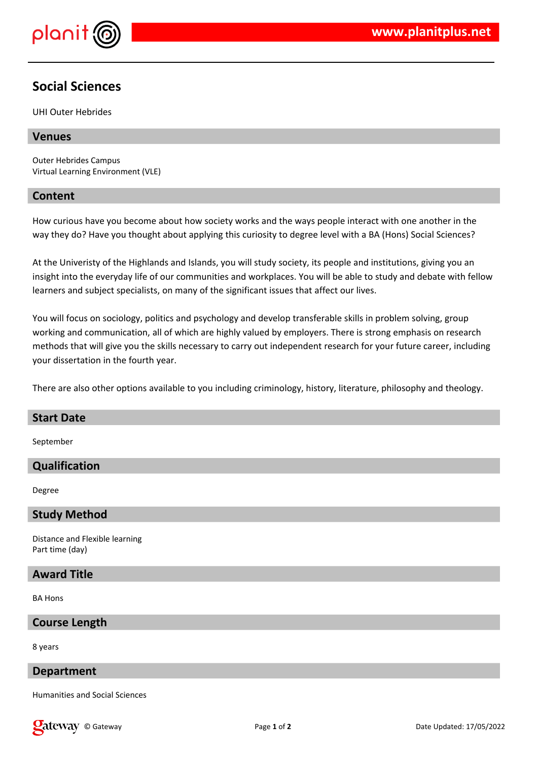

# **Social Sciences**

UHI Outer Hebrides

## **Venues**

Outer Hebrides Campus Virtual Learning Environment (VLE)

## **Content**

How curious have you become about how society works and the ways people interact with one another in the way they do? Have you thought about applying this curiosity to degree level with a BA (Hons) Social Sciences?

At the Univeristy of the Highlands and Islands, you will study society, its people and institutions, giving you an insight into the everyday life of our communities and workplaces. You will be able to study and debate with fellow learners and subject specialists, on many of the significant issues that affect our lives.

You will focus on sociology, politics and psychology and develop transferable skills in problem solving, group working and communication, all of which are highly valued by employers. There is strong emphasis on research methods that will give you the skills necessary to carry out independent research for your future career, including your dissertation in the fourth year.

There are also other options available to you including criminology, history, literature, philosophy and theology.

#### **Start Date**

September

# **Qualification**

Degree

### **Study Method**

Distance and Flexible learning Part time (day)

# **Award Title**

BA Hons

#### **Course Length**

8 years

#### **Department**

Humanities and Social Sciences

**Cateway** © Gateway **Page 1 of 2** Page 1 of 2 Date Updated: 17/05/2022